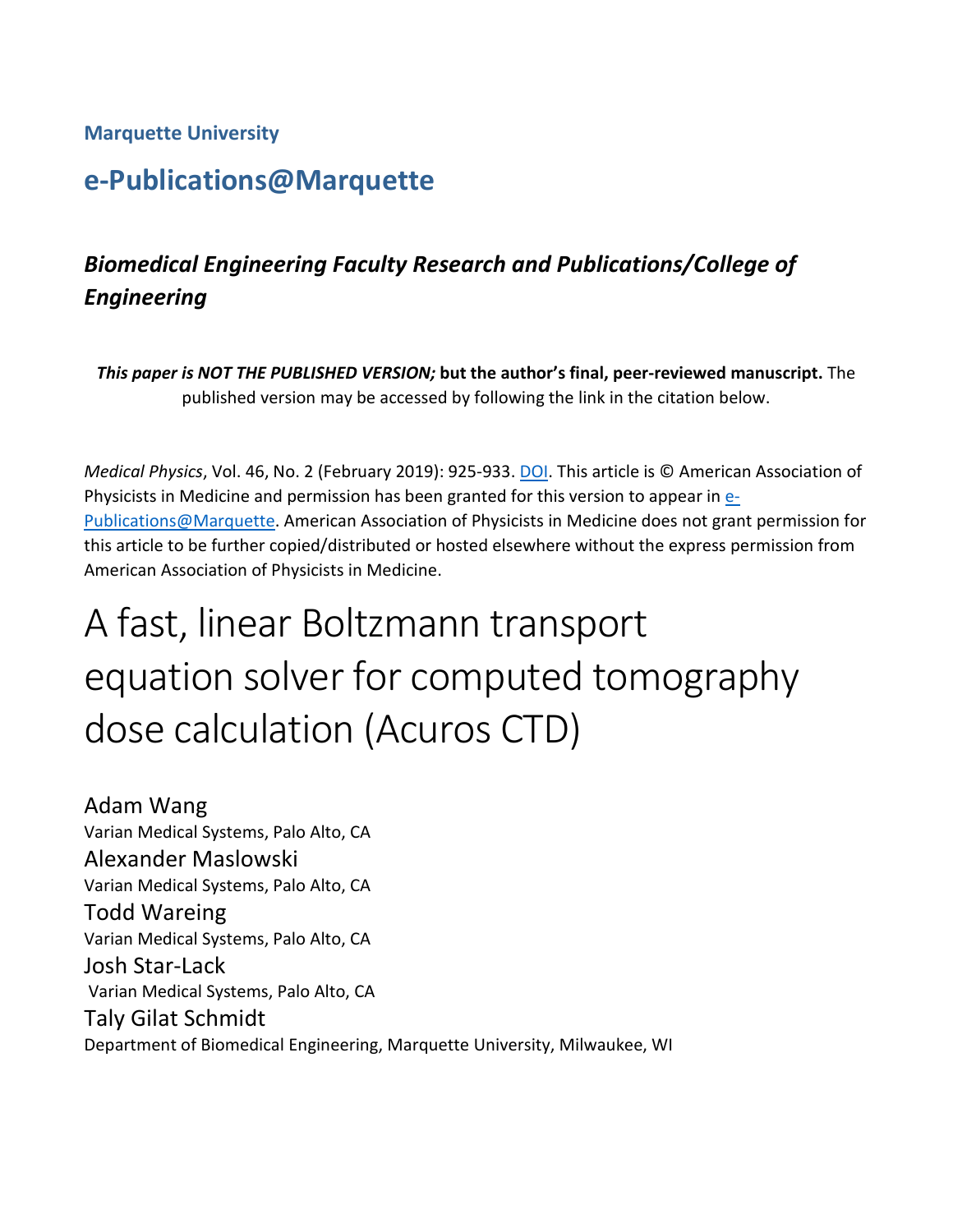## **Marquette University**

# **e-Publications@Marquette**

# *Biomedical Engineering Faculty Research and Publications/College of Engineering*

*This paper is NOT THE PUBLISHED VERSION;* **but the author's final, peer-reviewed manuscript.** The published version may be accessed by following the link in the citation below.

*Medical Physics*, Vol. 46, No. 2 (February 2019): 925-933. [DOI.](https://doi.org/10.1002/mp.13305) This article is © American Association of Physicists in Medicine and permission has been granted for this version to appear i[n e-](http://epublications.marquette.edu/)[Publications@Marquette.](http://epublications.marquette.edu/) American Association of Physicists in Medicine does not grant permission for this article to be further copied/distributed or hosted elsewhere without the express permission from American Association of Physicists in Medicine.

# A fast, linear Boltzmann transport equation solver for computed tomography dose calculation (Acuros CTD)

Adam Wang Varian Medical Systems, Palo Alto, CA Alexander Maslowski Varian Medical Systems, Palo Alto, CA Todd Wareing Varian Medical Systems, Palo Alto, CA Josh Star-Lack Varian Medical Systems, Palo Alto, CA Taly Gilat Schmidt Department of Biomedical Engineering, Marquette University, Milwaukee, WI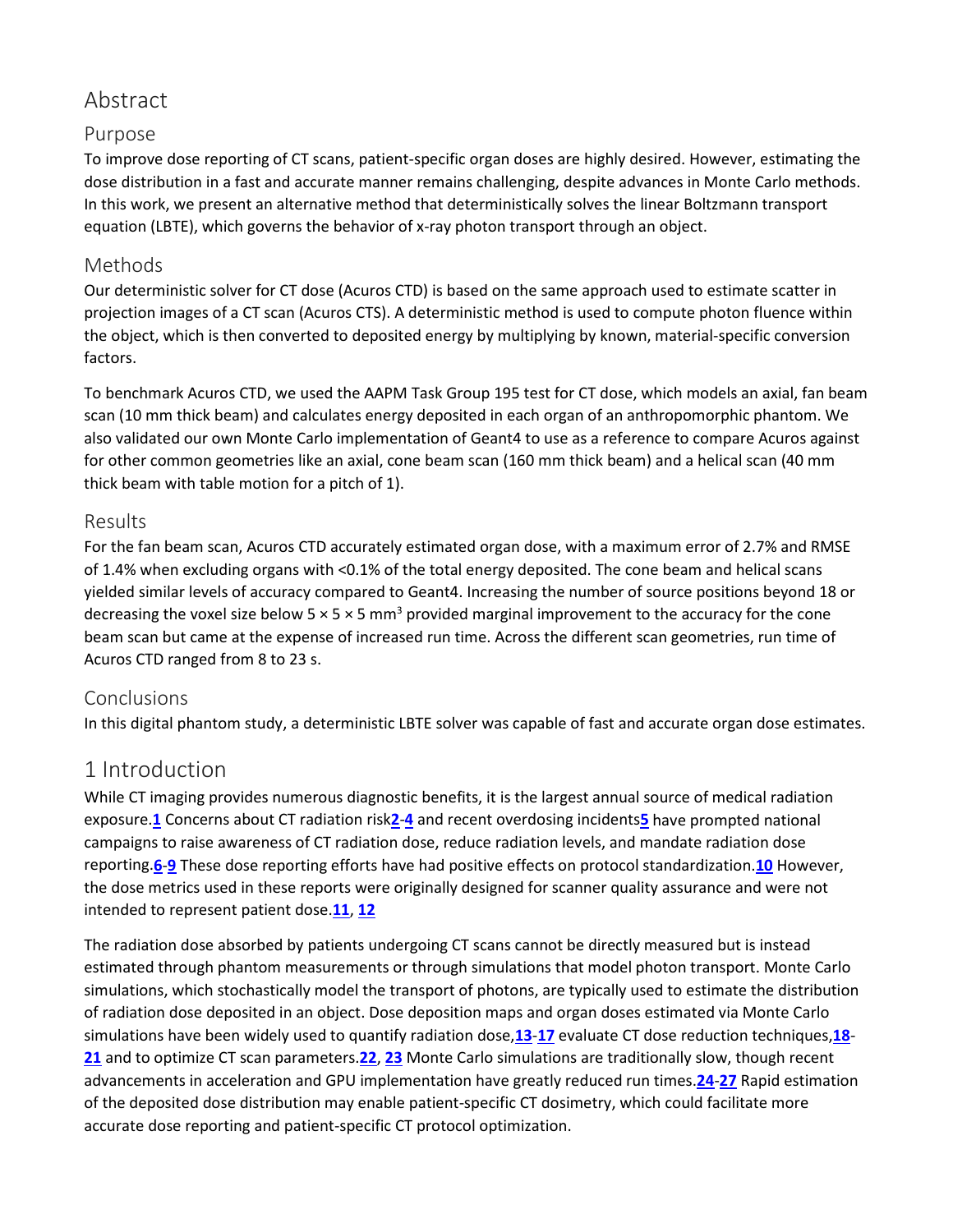# Abstract

## Purpose

To improve dose reporting of CT scans, patient-specific organ doses are highly desired. However, estimating the dose distribution in a fast and accurate manner remains challenging, despite advances in Monte Carlo methods. In this work, we present an alternative method that deterministically solves the linear Boltzmann transport equation (LBTE), which governs the behavior of x-ray photon transport through an object.

## Methods

Our deterministic solver for CT dose (Acuros CTD) is based on the same approach used to estimate scatter in projection images of a CT scan (Acuros CTS). A deterministic method is used to compute photon fluence within the object, which is then converted to deposited energy by multiplying by known, material-specific conversion factors.

To benchmark Acuros CTD, we used the AAPM Task Group 195 test for CT dose, which models an axial, fan beam scan (10 mm thick beam) and calculates energy deposited in each organ of an anthropomorphic phantom. We also validated our own Monte Carlo implementation of Geant4 to use as a reference to compare Acuros against for other common geometries like an axial, cone beam scan (160 mm thick beam) and a helical scan (40 mm thick beam with table motion for a pitch of 1).

## Results

For the fan beam scan, Acuros CTD accurately estimated organ dose, with a maximum error of 2.7% and RMSE of 1.4% when excluding organs with <0.1% of the total energy deposited. The cone beam and helical scans yielded similar levels of accuracy compared to Geant4. Increasing the number of source positions beyond 18 or decreasing the voxel size below 5  $\times$  5  $\times$  5 mm<sup>3</sup> provided marginal improvement to the accuracy for the cone beam scan but came at the expense of increased run time. Across the different scan geometries, run time of Acuros CTD ranged from 8 to 23 s.

## Conclusions

In this digital phantom study, a deterministic LBTE solver was capable of fast and accurate organ dose estimates.

## 1 Introduction

While CT imaging provides numerous diagnostic benefits, it is the largest annual source of medical radiation exposure.**[1](https://aapm.onlinelibrary.wiley.com/doi/full/10.1002/mp.13305#mp13305-bib-0001)** Concerns about CT radiation risk**[2](https://aapm.onlinelibrary.wiley.com/doi/full/10.1002/mp.13305#mp13305-bib-0002)**-**[4](https://aapm.onlinelibrary.wiley.com/doi/full/10.1002/mp.13305#mp13305-bib-0004)** and recent overdosing incidents**[5](https://aapm.onlinelibrary.wiley.com/doi/full/10.1002/mp.13305#mp13305-bib-0005)** have prompted national campaigns to raise awareness of CT radiation dose, reduce radiation levels, and mandate radiation dose reporting.**[6](https://aapm.onlinelibrary.wiley.com/doi/full/10.1002/mp.13305#mp13305-bib-0006)**-**[9](https://aapm.onlinelibrary.wiley.com/doi/full/10.1002/mp.13305#mp13305-bib-0009)** These dose reporting efforts have had positive effects on protocol standardization.**[10](https://aapm.onlinelibrary.wiley.com/doi/full/10.1002/mp.13305#mp13305-bib-0010)** However, the dose metrics used in these reports were originally designed for scanner quality assurance and were not intended to represent patient dose.**[11](https://aapm.onlinelibrary.wiley.com/doi/full/10.1002/mp.13305#mp13305-bib-0011)**, **[12](https://aapm.onlinelibrary.wiley.com/doi/full/10.1002/mp.13305#mp13305-bib-0012)**

The radiation dose absorbed by patients undergoing CT scans cannot be directly measured but is instead estimated through phantom measurements or through simulations that model photon transport. Monte Carlo simulations, which stochastically model the transport of photons, are typically used to estimate the distribution of radiation dose deposited in an object. Dose deposition maps and organ doses estimated via Monte Carlo simulations have been widely used to quantify radiation dose,**[13](https://aapm.onlinelibrary.wiley.com/doi/full/10.1002/mp.13305#mp13305-bib-0013)**-**[17](https://aapm.onlinelibrary.wiley.com/doi/full/10.1002/mp.13305#mp13305-bib-0017)** evaluate CT dose reduction techniques,**[18](https://aapm.onlinelibrary.wiley.com/doi/full/10.1002/mp.13305#mp13305-bib-0018)**- **[21](https://aapm.onlinelibrary.wiley.com/doi/full/10.1002/mp.13305#mp13305-bib-0021)** and to optimize CT scan parameters.**[22](https://aapm.onlinelibrary.wiley.com/doi/full/10.1002/mp.13305#mp13305-bib-0022)**, **[23](https://aapm.onlinelibrary.wiley.com/doi/full/10.1002/mp.13305#mp13305-bib-0023)** Monte Carlo simulations are traditionally slow, though recent advancements in acceleration and GPU implementation have greatly reduced run times.**[24](https://aapm.onlinelibrary.wiley.com/doi/full/10.1002/mp.13305#mp13305-bib-0024)**-**[27](https://aapm.onlinelibrary.wiley.com/doi/full/10.1002/mp.13305#mp13305-bib-0027)** Rapid estimation of the deposited dose distribution may enable patient-specific CT dosimetry, which could facilitate more accurate dose reporting and patient-specific CT protocol optimization.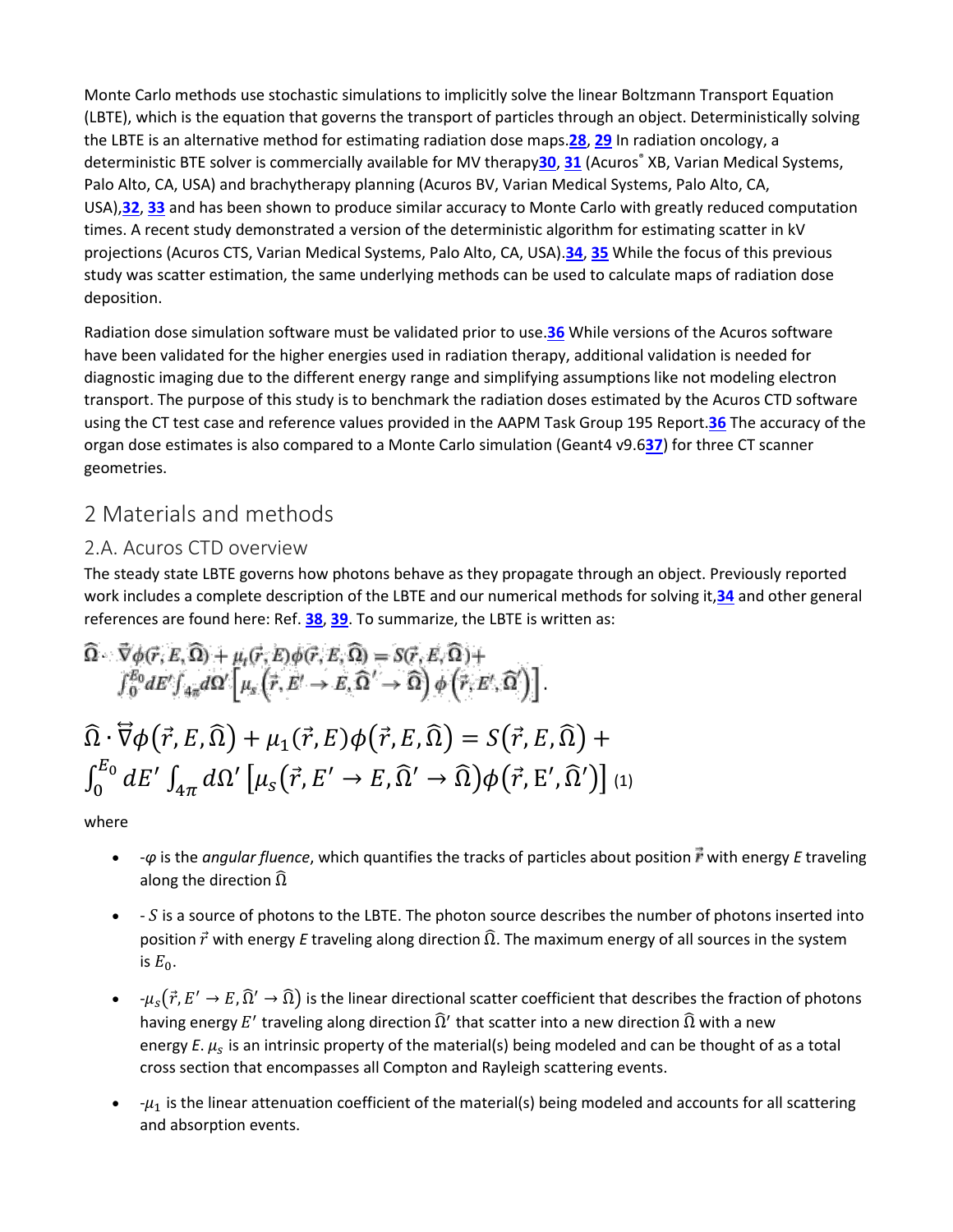Monte Carlo methods use stochastic simulations to implicitly solve the linear Boltzmann Transport Equation (LBTE), which is the equation that governs the transport of particles through an object. Deterministically solving the LBTE is an alternative method for estimating radiation dose maps.**[28](https://aapm.onlinelibrary.wiley.com/doi/full/10.1002/mp.13305#mp13305-bib-0028)**, **[29](https://aapm.onlinelibrary.wiley.com/doi/full/10.1002/mp.13305#mp13305-bib-0029)** In radiation oncology, a deterministic BTE solver is commercially available for MV therapy[30](https://aapm.onlinelibrary.wiley.com/doi/full/10.1002/mp.13305#mp13305-bib-0030), [31](https://aapm.onlinelibrary.wiley.com/doi/full/10.1002/mp.13305#mp13305-bib-0031) (Acuros<sup>®</sup> XB, Varian Medical Systems, Palo Alto, CA, USA) and brachytherapy planning (Acuros BV, Varian Medical Systems, Palo Alto, CA, USA),**[32](https://aapm.onlinelibrary.wiley.com/doi/full/10.1002/mp.13305#mp13305-bib-0032)**, **[33](https://aapm.onlinelibrary.wiley.com/doi/full/10.1002/mp.13305#mp13305-bib-0033)** and has been shown to produce similar accuracy to Monte Carlo with greatly reduced computation times. A recent study demonstrated a version of the deterministic algorithm for estimating scatter in kV projections (Acuros CTS, Varian Medical Systems, Palo Alto, CA, USA).**[34](https://aapm.onlinelibrary.wiley.com/doi/full/10.1002/mp.13305#mp13305-bib-0034)**, **[35](https://aapm.onlinelibrary.wiley.com/doi/full/10.1002/mp.13305#mp13305-bib-0035)** While the focus of this previous study was scatter estimation, the same underlying methods can be used to calculate maps of radiation dose deposition.

Radiation dose simulation software must be validated prior to use.**[36](https://aapm.onlinelibrary.wiley.com/doi/full/10.1002/mp.13305#mp13305-bib-0036)** While versions of the Acuros software have been validated for the higher energies used in radiation therapy, additional validation is needed for diagnostic imaging due to the different energy range and simplifying assumptions like not modeling electron transport. The purpose of this study is to benchmark the radiation doses estimated by the Acuros CTD software using the CT test case and reference values provided in the AAPM Task Group 195 Report.**[36](https://aapm.onlinelibrary.wiley.com/doi/full/10.1002/mp.13305#mp13305-bib-0036)** The accuracy of the organ dose estimates is also compared to a Monte Carlo simulation (Geant4 v9.6**[37](https://aapm.onlinelibrary.wiley.com/doi/full/10.1002/mp.13305#mp13305-bib-0037)**) for three CT scanner geometries.

## 2 Materials and methods

## 2.A. Acuros CTD overview

The steady state LBTE governs how photons behave as they propagate through an object. Previously reported work includes a complete description of the LBTE and our numerical methods for solving it,**[34](https://aapm.onlinelibrary.wiley.com/doi/full/10.1002/mp.13305#mp13305-bib-0034)** and other general references are found here: Ref. **[38](https://aapm.onlinelibrary.wiley.com/doi/full/10.1002/mp.13305#mp13305-bib-0038)**, **[39](https://aapm.onlinelibrary.wiley.com/doi/full/10.1002/mp.13305#mp13305-bib-0039)**. To summarize, the LBTE is written as:

$$
\begin{aligned}\n\widehat{\Omega} & \stackrel{\rightarrow}{\nabla}\phi(\vec{r},E,\widehat{\Omega}) + \mu_t(\vec{r},E)\phi(\vec{r},E,\widehat{\Omega}) = S(\vec{r},E,\widehat{\Omega}) + \\
\int_0^{E_0} dE' \int_{4\pi} d\Omega' \left[ \mu_s \left( \vec{r}, E' \to E, \widehat{\Omega}' \to \widehat{\Omega} \right) \phi \left( \vec{r}, E', \widehat{\Omega}' \right) \right] \\
\widehat{\Omega} \cdot \nabla \phi \left( \vec{r}, E, \widehat{\Omega} \right) + \mu_1 (\vec{r}, E) \phi \left( \vec{r}, E, \widehat{\Omega} \right) = S(\vec{r}, E, \widehat{\Omega}) + \\
\int_0^{E_0} dE' \int_{4\pi} d\Omega' \left[ \mu_s \left( \vec{r}, E' \to E, \widehat{\Omega}' \to \widehat{\Omega} \right) \phi \left( \vec{r}, E', \widehat{\Omega}' \right) \right] (1)\n\end{aligned}
$$

where

- $-q$  is the *angular fluence*, which quantifies the tracks of particles about position  $\vec{r}$  with energy *E* traveling along the direction  $\widehat{\Omega}$
- $\bullet$  S is a source of photons to the LBTE. The photon source describes the number of photons inserted into position  $\vec{r}$  with energy *E* traveling along direction  $\Omega$ . The maximum energy of all sources in the system is  $E_0$ .
- $-\mu_c(\vec{r}, E' \to E, \widehat{\Omega}' \to \widehat{\Omega})$  is the linear directional scatter coefficient that describes the fraction of photons having energy E' traveling along direction  $\widehat{\Omega}'$  that scatter into a new direction  $\widehat{\Omega}$  with a new energy  $E$ .  $\mu_s$  is an intrinsic property of the material(s) being modeled and can be thought of as a total cross section that encompasses all Compton and Rayleigh scattering events.
- $-\mu_1$  is the linear attenuation coefficient of the material(s) being modeled and accounts for all scattering and absorption events.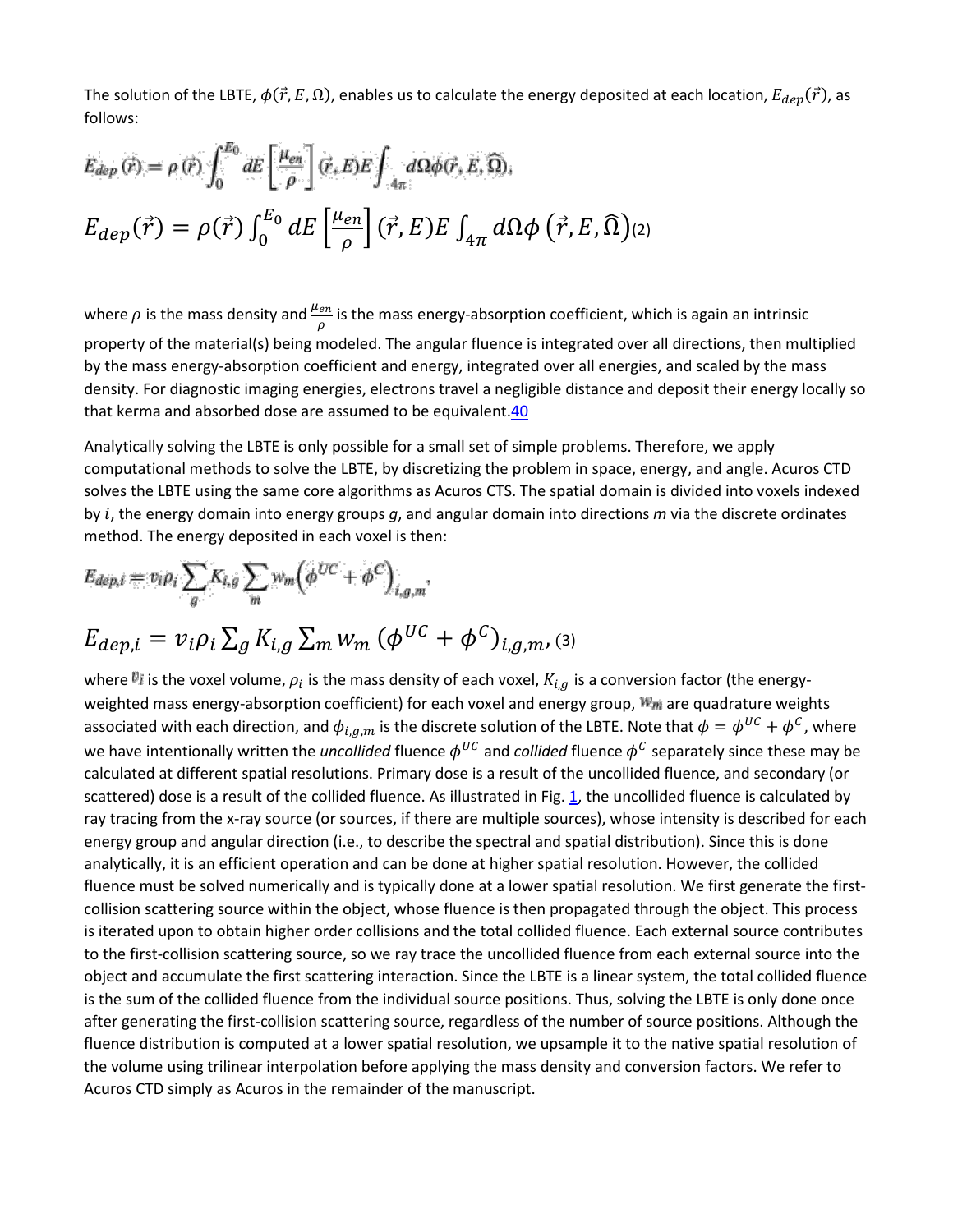The solution of the LBTE,  $\phi(\vec{r},E,\Omega)$ , enables us to calculate the energy deposited at each location,  $E_{dep}(\vec{r})$ , as follows:

$$
E_{dep}(\vec{r}) = \rho(\vec{r}) \int_0^{E_0} dE \left[ \frac{\mu_{en}}{\rho} \right] (\vec{r}, E) E \int_{4\pi} d\Omega \phi(\vec{r}, E, \widehat{\Omega}),
$$
  

$$
E_{dep}(\vec{r}) = \rho(\vec{r}) \int_0^{E_0} dE \left[ \frac{\mu_{en}}{\rho} \right] (\vec{r}, E) E \int_{4\pi} d\Omega \phi (\vec{r}, E, \widehat{\Omega}) (2)
$$

where  $\rho$  is the mass density and  $\frac{\mu_{en}}{\rho}$  is the mass energy-absorption coefficient, which is again an intrinsic property of the material(s) being modeled. The angular fluence is integrated over all directions, then multiplied by the mass energy-absorption coefficient and energy, integrated over all energies, and scaled by the mass density. For diagnostic imaging energies, electrons travel a negligible distance and deposit their energy locally so that kerma and absorbed dose are assumed to be equivalent. 40

Analytically solving the LBTE is only possible for a small set of simple problems. Therefore, we apply computational methods to solve the LBTE, by discretizing the problem in space, energy, and angle. Acuros CTD solves the LBTE using the same core algorithms as Acuros CTS. The spatial domain is divided into voxels indexed by , the energy domain into energy groups *g*, and angular domain into directions *m* via the discrete ordinates method. The energy deposited in each voxel is then:

$$
E_{dep,i} = v_i \rho_i \sum_g K_{i,g} \sum_m w_m \left(\phi^{UC} + \phi^C\right)_{i,g,m},
$$
  

$$
E_{dep,i} = v_i \rho_i \sum_g K_{i,g} \sum_m w_m \left(\phi^{UC} + \phi^C\right)_{i,g,m},
$$
 (3)

where  $v_i$  is the voxel volume,  $\rho_i$  is the mass density of each voxel,  $K_{i,g}$  is a conversion factor (the energyweighted mass energy-absorption coefficient) for each voxel and energy group,  $W_m$  are quadrature weights associated with each direction, and  $\phi_{i,g,m}$  is the discrete solution of the LBTE. Note that  $\phi = \phi^{UC} + \phi^C$ , where we have intentionally written the *uncollided* fluence  $\phi^{UC}$  and *collided* fluence  $\phi^C$  separately since these may be calculated at different spatial resolutions. Primary dose is a result of the uncollided fluence, and secondary (or scattered) dose is a result of the collided fluence. As illustrated in Fig. [1,](https://aapm.onlinelibrary.wiley.com/doi/full/10.1002/mp.13305#mp13305-fig-0001) the uncollided fluence is calculated by ray tracing from the x-ray source (or sources, if there are multiple sources), whose intensity is described for each energy group and angular direction (i.e., to describe the spectral and spatial distribution). Since this is done analytically, it is an efficient operation and can be done at higher spatial resolution. However, the collided fluence must be solved numerically and is typically done at a lower spatial resolution. We first generate the firstcollision scattering source within the object, whose fluence is then propagated through the object. This process is iterated upon to obtain higher order collisions and the total collided fluence. Each external source contributes to the first-collision scattering source, so we ray trace the uncollided fluence from each external source into the object and accumulate the first scattering interaction. Since the LBTE is a linear system, the total collided fluence is the sum of the collided fluence from the individual source positions. Thus, solving the LBTE is only done once after generating the first-collision scattering source, regardless of the number of source positions. Although the fluence distribution is computed at a lower spatial resolution, we upsample it to the native spatial resolution of the volume using trilinear interpolation before applying the mass density and conversion factors. We refer to Acuros CTD simply as Acuros in the remainder of the manuscript.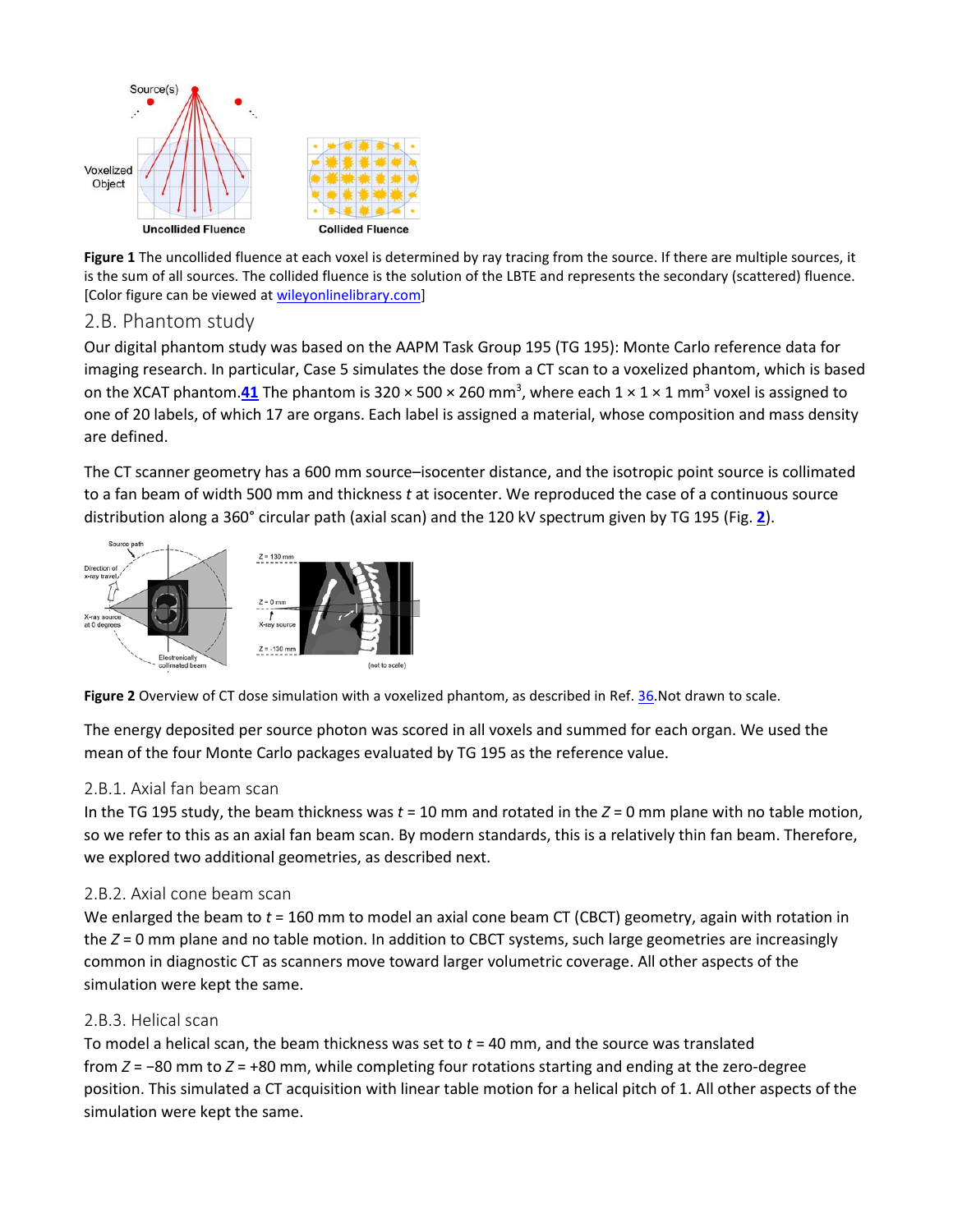

**Figure 1** The uncollided fluence at each voxel is determined by ray tracing from the source. If there are multiple sources, it is the sum of all sources. The collided fluence is the solution of the LBTE and represents the secondary (scattered) fluence. [Color figure can be viewed at [wileyonlinelibrary.com\]](http://www.wileyonlinelibrary.com/)

## 2.B. Phantom study

Our digital phantom study was based on the AAPM Task Group 195 (TG 195): Monte Carlo reference data for imaging research. In particular, Case 5 simulates the dose from a CT scan to a voxelized phantom, which is based on the XCAT phantom.**[41](https://aapm.onlinelibrary.wiley.com/doi/full/10.1002/mp.13305#mp13305-bib-0041)** The phantom is 320 × 500 × 260 mm3 , where each 1 × 1 × 1 mm3 voxel is assigned to one of 20 labels, of which 17 are organs. Each label is assigned a material, whose composition and mass density are defined.

The CT scanner geometry has a 600 mm source–isocenter distance, and the isotropic point source is collimated to a fan beam of width 500 mm and thickness *t* at isocenter. We reproduced the case of a continuous source distribution along a 360° circular path (axial scan) and the 120 kV spectrum given by TG 195 (Fig. **[2](https://aapm.onlinelibrary.wiley.com/doi/full/10.1002/mp.13305#mp13305-fig-0002)**).



**Figure 2** Overview of CT dose simulation with a voxelized phantom, as described in Ref. [36.N](https://aapm.onlinelibrary.wiley.com/doi/full/10.1002/mp.13305#mp13305-bib-0036)ot drawn to scale.

The energy deposited per source photon was scored in all voxels and summed for each organ. We used the mean of the four Monte Carlo packages evaluated by TG 195 as the reference value.

#### 2.B.1. Axial fan beam scan

In the TG 195 study, the beam thickness was *t* = 10 mm and rotated in the *Z* = 0 mm plane with no table motion, so we refer to this as an axial fan beam scan. By modern standards, this is a relatively thin fan beam. Therefore, we explored two additional geometries, as described next.

#### 2.B.2. Axial cone beam scan

We enlarged the beam to *t* = 160 mm to model an axial cone beam CT (CBCT) geometry, again with rotation in the *Z* = 0 mm plane and no table motion. In addition to CBCT systems, such large geometries are increasingly common in diagnostic CT as scanners move toward larger volumetric coverage. All other aspects of the simulation were kept the same.

#### 2.B.3. Helical scan

To model a helical scan, the beam thickness was set to *t* = 40 mm, and the source was translated from *Z* = −80 mm to *Z* = +80 mm, while completing four rotations starting and ending at the zero-degree position. This simulated a CT acquisition with linear table motion for a helical pitch of 1. All other aspects of the simulation were kept the same.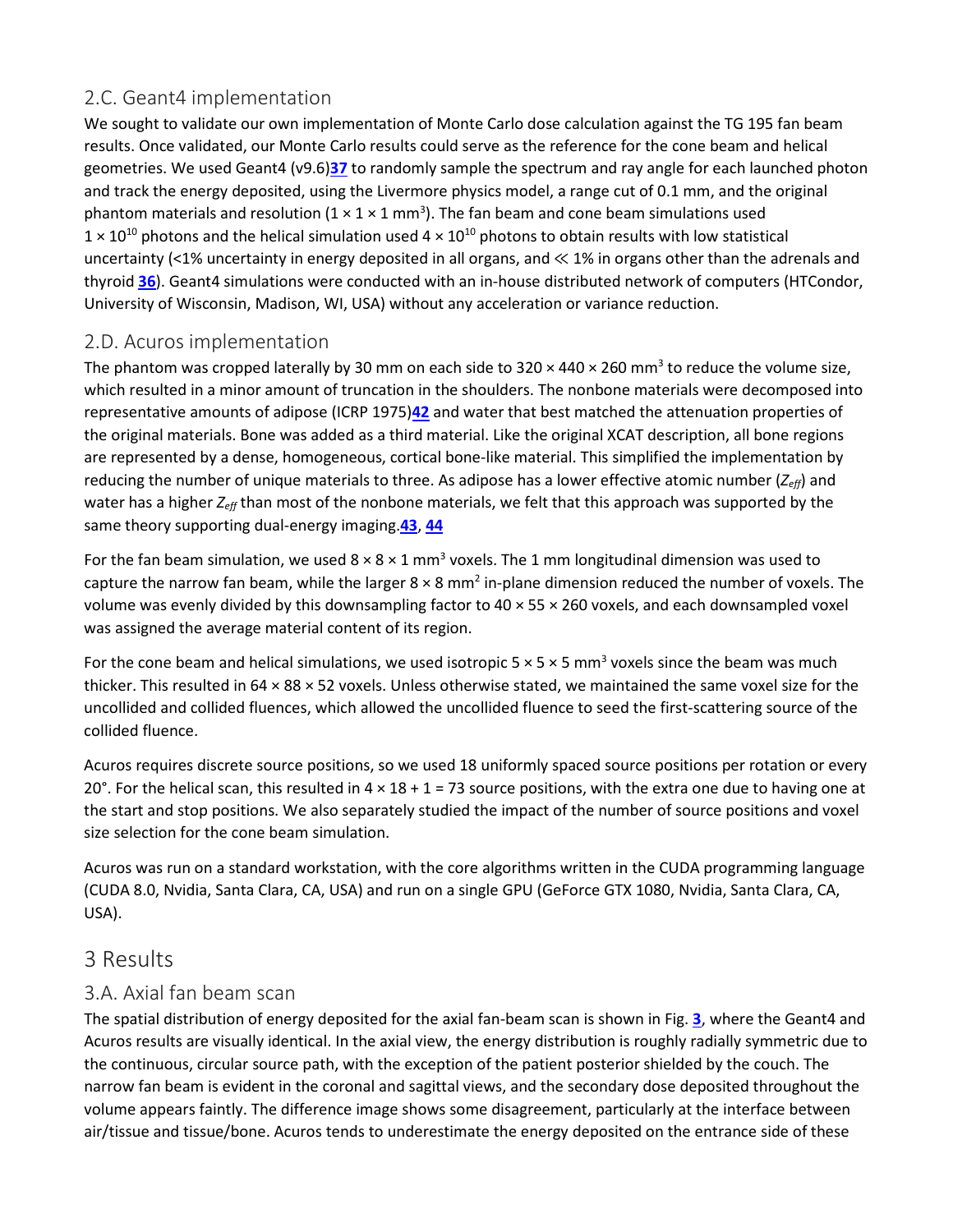## 2.C. Geant4 implementation

We sought to validate our own implementation of Monte Carlo dose calculation against the TG 195 fan beam results. Once validated, our Monte Carlo results could serve as the reference for the cone beam and helical geometries. We used Geant4 (v9.6)**[37](https://aapm.onlinelibrary.wiley.com/doi/full/10.1002/mp.13305#mp13305-bib-0037)** to randomly sample the spectrum and ray angle for each launched photon and track the energy deposited, using the Livermore physics model, a range cut of 0.1 mm, and the original phantom materials and resolution  $(1 \times 1 \times 1 \text{ mm}^3)$ . The fan beam and cone beam simulations used  $1 \times 10^{10}$  photons and the helical simulation used  $4 \times 10^{10}$  photons to obtain results with low statistical uncertainty (<1% uncertainty in energy deposited in all organs, and ≪ 1% in organs other than the adrenals and thyroid **[36](https://aapm.onlinelibrary.wiley.com/doi/full/10.1002/mp.13305#mp13305-bib-0036)**). Geant4 simulations were conducted with an in-house distributed network of computers (HTCondor, University of Wisconsin, Madison, WI, USA) without any acceleration or variance reduction.

## 2.D. Acuros implementation

The phantom was cropped laterally by 30 mm on each side to  $320 \times 440 \times 260$  mm<sup>3</sup> to reduce the volume size, which resulted in a minor amount of truncation in the shoulders. The nonbone materials were decomposed into representative amounts of adipose (ICRP 1975)**[42](https://aapm.onlinelibrary.wiley.com/doi/full/10.1002/mp.13305#mp13305-bib-0042)** and water that best matched the attenuation properties of the original materials. Bone was added as a third material. Like the original XCAT description, all bone regions are represented by a dense, homogeneous, cortical bone-like material. This simplified the implementation by reducing the number of unique materials to three. As adipose has a lower effective atomic number (*Zeff*) and water has a higher *Zeff* than most of the nonbone materials, we felt that this approach was supported by the same theory supporting dual-energy imaging.**[43](https://aapm.onlinelibrary.wiley.com/doi/full/10.1002/mp.13305#mp13305-bib-0043)**, **[44](https://aapm.onlinelibrary.wiley.com/doi/full/10.1002/mp.13305#mp13305-bib-0044)**

For the fan beam simulation, we used  $8 \times 8 \times 1$  mm<sup>3</sup> voxels. The 1 mm longitudinal dimension was used to capture the narrow fan beam, while the larger  $8 \times 8$  mm<sup>2</sup> in-plane dimension reduced the number of voxels. The volume was evenly divided by this downsampling factor to 40 × 55 × 260 voxels, and each downsampled voxel was assigned the average material content of its region.

For the cone beam and helical simulations, we used isotropic  $5 \times 5 \times 5$  mm<sup>3</sup> voxels since the beam was much thicker. This resulted in 64 × 88 × 52 voxels. Unless otherwise stated, we maintained the same voxel size for the uncollided and collided fluences, which allowed the uncollided fluence to seed the first-scattering source of the collided fluence.

Acuros requires discrete source positions, so we used 18 uniformly spaced source positions per rotation or every 20°. For the helical scan, this resulted in  $4 \times 18 + 1 = 73$  source positions, with the extra one due to having one at the start and stop positions. We also separately studied the impact of the number of source positions and voxel size selection for the cone beam simulation.

Acuros was run on a standard workstation, with the core algorithms written in the CUDA programming language (CUDA 8.0, Nvidia, Santa Clara, CA, USA) and run on a single GPU (GeForce GTX 1080, Nvidia, Santa Clara, CA, USA).

## 3 Results

## 3.A. Axial fan beam scan

The spatial distribution of energy deposited for the axial fan-beam scan is shown in Fig. **[3](https://aapm.onlinelibrary.wiley.com/doi/full/10.1002/mp.13305#mp13305-fig-0003)**, where the Geant4 and Acuros results are visually identical. In the axial view, the energy distribution is roughly radially symmetric due to the continuous, circular source path, with the exception of the patient posterior shielded by the couch. The narrow fan beam is evident in the coronal and sagittal views, and the secondary dose deposited throughout the volume appears faintly. The difference image shows some disagreement, particularly at the interface between air/tissue and tissue/bone. Acuros tends to underestimate the energy deposited on the entrance side of these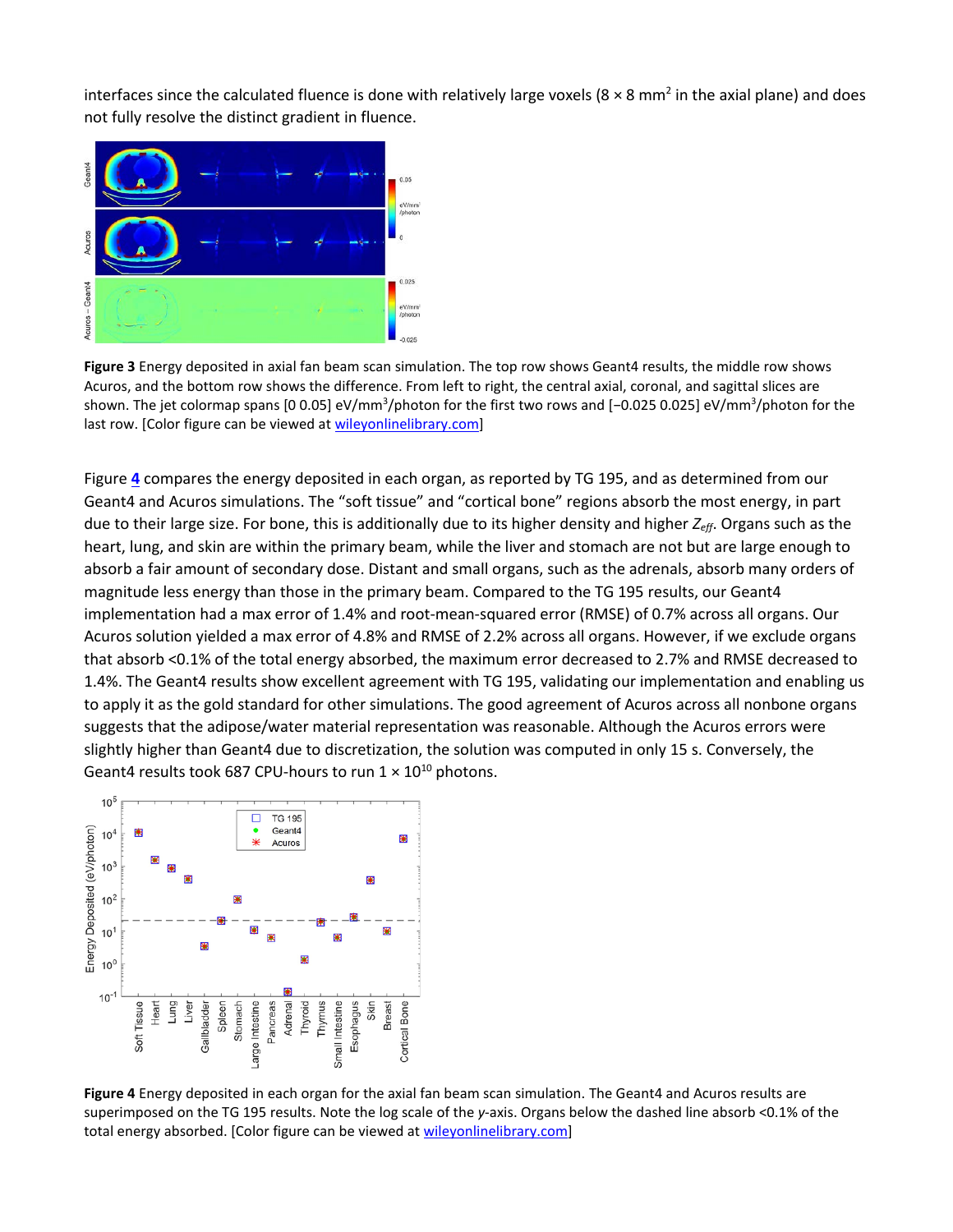interfaces since the calculated fluence is done with relatively large voxels ( $8 \times 8$  mm<sup>2</sup> in the axial plane) and does not fully resolve the distinct gradient in fluence.



**Figure 3** Energy deposited in axial fan beam scan simulation. The top row shows Geant4 results, the middle row shows Acuros, and the bottom row shows the difference. From left to right, the central axial, coronal, and sagittal slices are shown. The jet colormap spans [0 0.05] eV/mm<sup>3</sup>/photon for the first two rows and [−0.025 0.025] eV/mm<sup>3</sup>/photon for the last row. [Color figure can be viewed at [wileyonlinelibrary.com\]](http://www.wileyonlinelibrary.com/)

Figure **[4](https://aapm.onlinelibrary.wiley.com/doi/full/10.1002/mp.13305#mp13305-fig-0004)** compares the energy deposited in each organ, as reported by TG 195, and as determined from our Geant4 and Acuros simulations. The "soft tissue" and "cortical bone" regions absorb the most energy, in part due to their large size. For bone, this is additionally due to its higher density and higher *Zeff*. Organs such as the heart, lung, and skin are within the primary beam, while the liver and stomach are not but are large enough to absorb a fair amount of secondary dose. Distant and small organs, such as the adrenals, absorb many orders of magnitude less energy than those in the primary beam. Compared to the TG 195 results, our Geant4 implementation had a max error of 1.4% and root-mean-squared error (RMSE) of 0.7% across all organs. Our Acuros solution yielded a max error of 4.8% and RMSE of 2.2% across all organs. However, if we exclude organs that absorb <0.1% of the total energy absorbed, the maximum error decreased to 2.7% and RMSE decreased to 1.4%. The Geant4 results show excellent agreement with TG 195, validating our implementation and enabling us to apply it as the gold standard for other simulations. The good agreement of Acuros across all nonbone organs suggests that the adipose/water material representation was reasonable. Although the Acuros errors were slightly higher than Geant4 due to discretization, the solution was computed in only 15 s. Conversely, the Geant4 results took 687 CPU-hours to run  $1 \times 10^{10}$  photons.



**Figure 4** Energy deposited in each organ for the axial fan beam scan simulation. The Geant4 and Acuros results are superimposed on the TG 195 results. Note the log scale of the *y*-axis. Organs below the dashed line absorb <0.1% of the total energy absorbed. [Color figure can be viewed at [wileyonlinelibrary.com\]](http://www.wileyonlinelibrary.com/)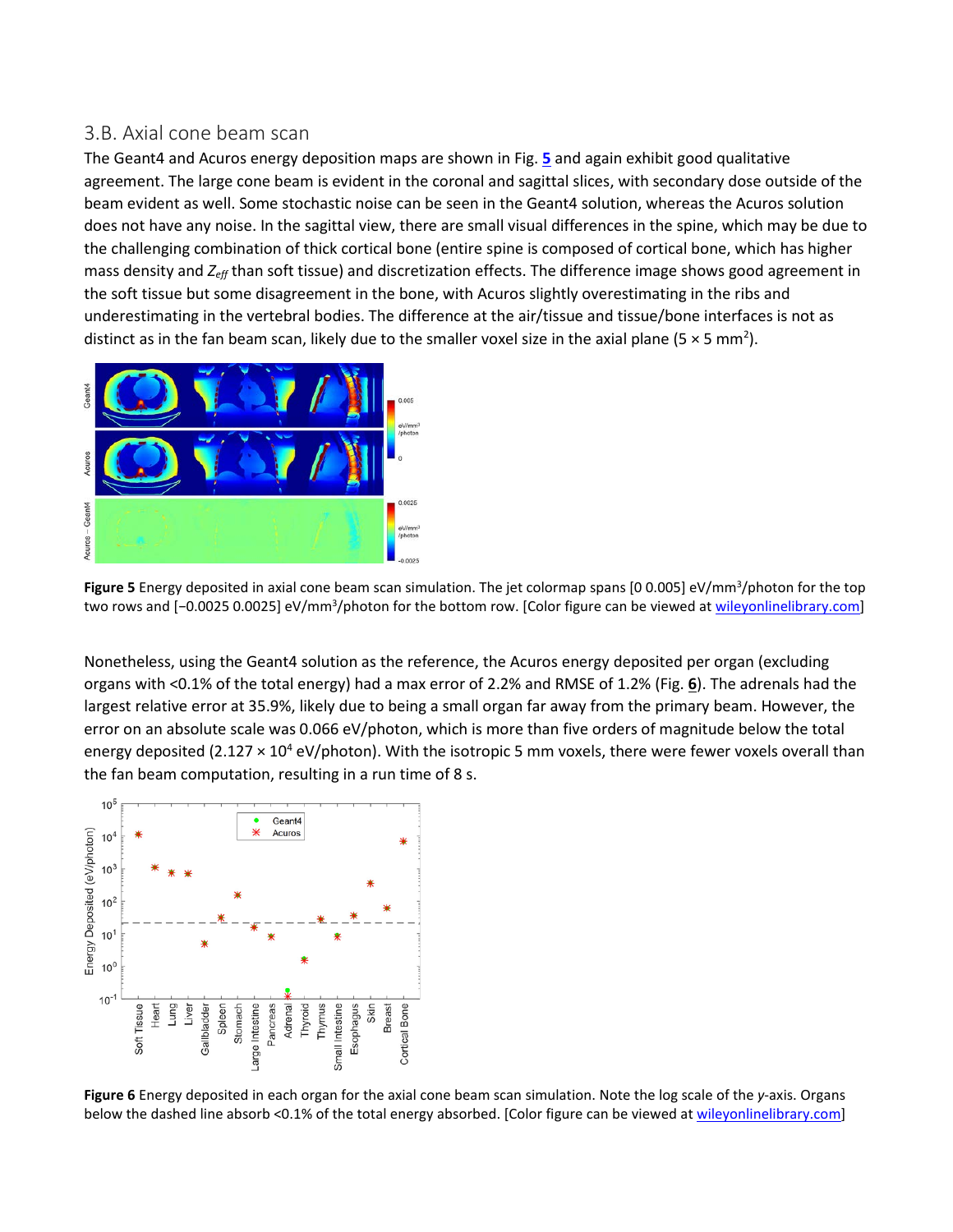#### 3.B. Axial cone beam scan

The Geant4 and Acuros energy deposition maps are shown in Fig. **[5](https://aapm.onlinelibrary.wiley.com/doi/full/10.1002/mp.13305#mp13305-fig-0005)** and again exhibit good qualitative agreement. The large cone beam is evident in the coronal and sagittal slices, with secondary dose outside of the beam evident as well. Some stochastic noise can be seen in the Geant4 solution, whereas the Acuros solution does not have any noise. In the sagittal view, there are small visual differences in the spine, which may be due to the challenging combination of thick cortical bone (entire spine is composed of cortical bone, which has higher mass density and *Zeff* than soft tissue) and discretization effects. The difference image shows good agreement in the soft tissue but some disagreement in the bone, with Acuros slightly overestimating in the ribs and underestimating in the vertebral bodies. The difference at the air/tissue and tissue/bone interfaces is not as distinct as in the fan beam scan, likely due to the smaller voxel size in the axial plane (5  $\times$  5 mm<sup>2</sup>).



Figure 5 Energy deposited in axial cone beam scan simulation. The jet colormap spans [0 0.005] eV/mm<sup>3</sup>/photon for the top two rows and [−0.0025 0.0025] eV/mm<sup>3</sup>/photon for the bottom row. [Color figure can be viewed at <u>wileyonlinelibrary.com</u>]

Nonetheless, using the Geant4 solution as the reference, the Acuros energy deposited per organ (excluding organs with <0.1% of the total energy) had a max error of 2.2% and RMSE of 1.2% (Fig. **[6](https://aapm.onlinelibrary.wiley.com/doi/full/10.1002/mp.13305#mp13305-fig-0006)**). The adrenals had the largest relative error at 35.9%, likely due to being a small organ far away from the primary beam. However, the error on an absolute scale was 0.066 eV/photon, which is more than five orders of magnitude below the total energy deposited (2.127  $\times$  10<sup>4</sup> eV/photon). With the isotropic 5 mm voxels, there were fewer voxels overall than the fan beam computation, resulting in a run time of 8 s.



**Figure 6** Energy deposited in each organ for the axial cone beam scan simulation. Note the log scale of the *y*-axis. Organs below the dashed line absorb <0.1% of the total energy absorbed. [Color figure can be viewed at [wileyonlinelibrary.com\]](http://www.wileyonlinelibrary.com/)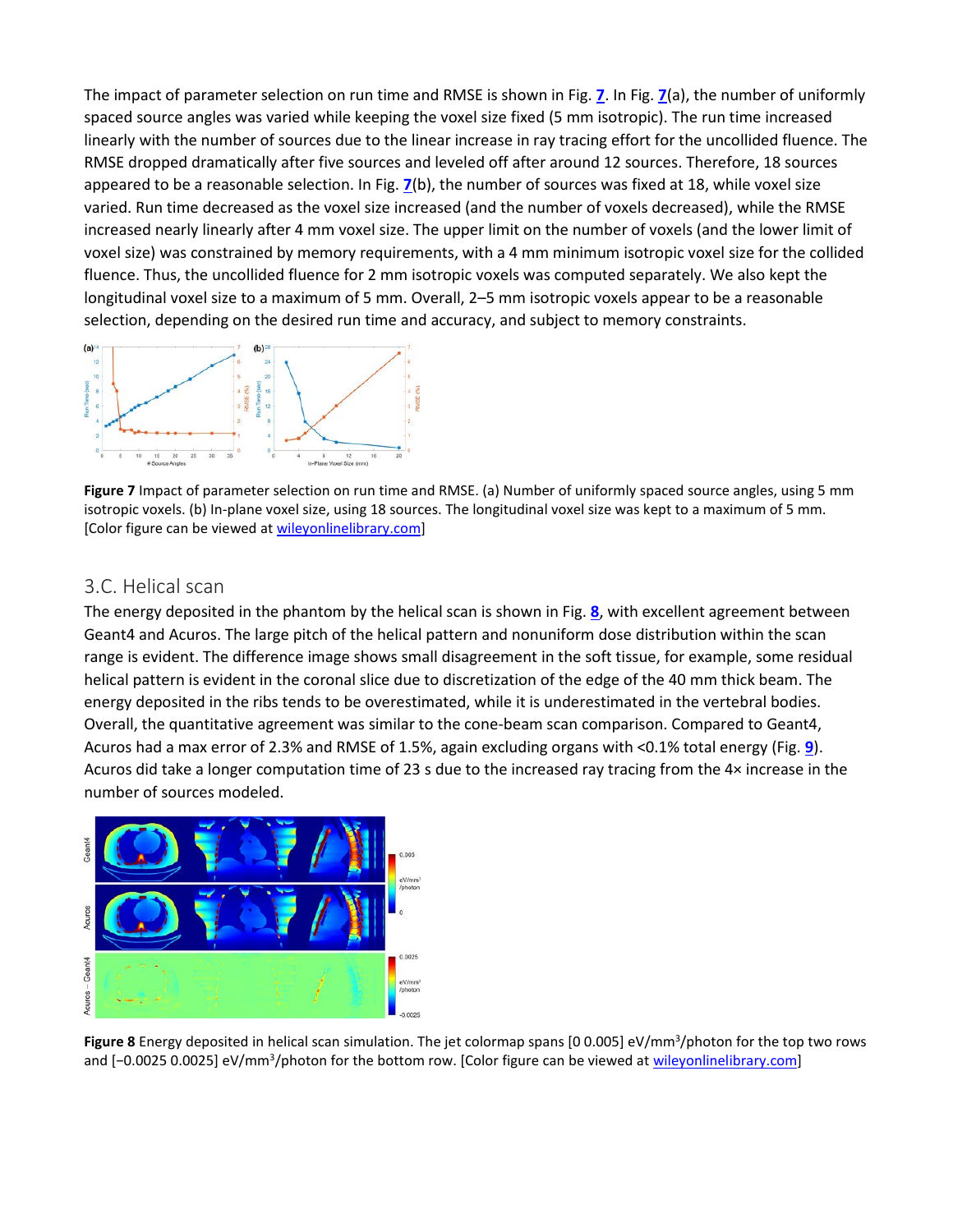The impact of parameter selection on run time and RMSE is shown in Fig. **[7](https://aapm.onlinelibrary.wiley.com/doi/full/10.1002/mp.13305#mp13305-fig-0007)**. In Fig. **[7](https://aapm.onlinelibrary.wiley.com/doi/full/10.1002/mp.13305#mp13305-fig-0007)**(a), the number of uniformly spaced source angles was varied while keeping the voxel size fixed (5 mm isotropic). The run time increased linearly with the number of sources due to the linear increase in ray tracing effort for the uncollided fluence. The RMSE dropped dramatically after five sources and leveled off after around 12 sources. Therefore, 18 sources appeared to be a reasonable selection. In Fig. **[7](https://aapm.onlinelibrary.wiley.com/doi/full/10.1002/mp.13305#mp13305-fig-0007)**(b), the number of sources was fixed at 18, while voxel size varied. Run time decreased as the voxel size increased (and the number of voxels decreased), while the RMSE increased nearly linearly after 4 mm voxel size. The upper limit on the number of voxels (and the lower limit of voxel size) was constrained by memory requirements, with a 4 mm minimum isotropic voxel size for the collided fluence. Thus, the uncollided fluence for 2 mm isotropic voxels was computed separately. We also kept the longitudinal voxel size to a maximum of 5 mm. Overall, 2–5 mm isotropic voxels appear to be a reasonable selection, depending on the desired run time and accuracy, and subject to memory constraints.



**Figure 7** Impact of parameter selection on run time and RMSE. (a) Number of uniformly spaced source angles, using 5 mm isotropic voxels. (b) In-plane voxel size, using 18 sources. The longitudinal voxel size was kept to a maximum of 5 mm. [Color figure can be viewed at [wileyonlinelibrary.com\]](http://www.wileyonlinelibrary.com/)

#### 3.C. Helical scan

The energy deposited in the phantom by the helical scan is shown in Fig. **[8](https://aapm.onlinelibrary.wiley.com/doi/full/10.1002/mp.13305#mp13305-fig-0008)**, with excellent agreement between Geant4 and Acuros. The large pitch of the helical pattern and nonuniform dose distribution within the scan range is evident. The difference image shows small disagreement in the soft tissue, for example, some residual helical pattern is evident in the coronal slice due to discretization of the edge of the 40 mm thick beam. The energy deposited in the ribs tends to be overestimated, while it is underestimated in the vertebral bodies. Overall, the quantitative agreement was similar to the cone-beam scan comparison. Compared to Geant4, Acuros had a max error of 2.3% and RMSE of 1.5%, again excluding organs with <0.1% total energy (Fig. **[9](https://aapm.onlinelibrary.wiley.com/doi/full/10.1002/mp.13305#mp13305-fig-0009)**). Acuros did take a longer computation time of 23 s due to the increased ray tracing from the 4× increase in the number of sources modeled.



Figure 8 Energy deposited in helical scan simulation. The jet colormap spans [0 0.005] eV/mm<sup>3</sup>/photon for the top two rows and [-0.0025 0.0025] eV/mm<sup>3</sup>/photon for the bottom row. [Color figure can be viewed at [wileyonlinelibrary.com\]](http://www.wileyonlinelibrary.com/)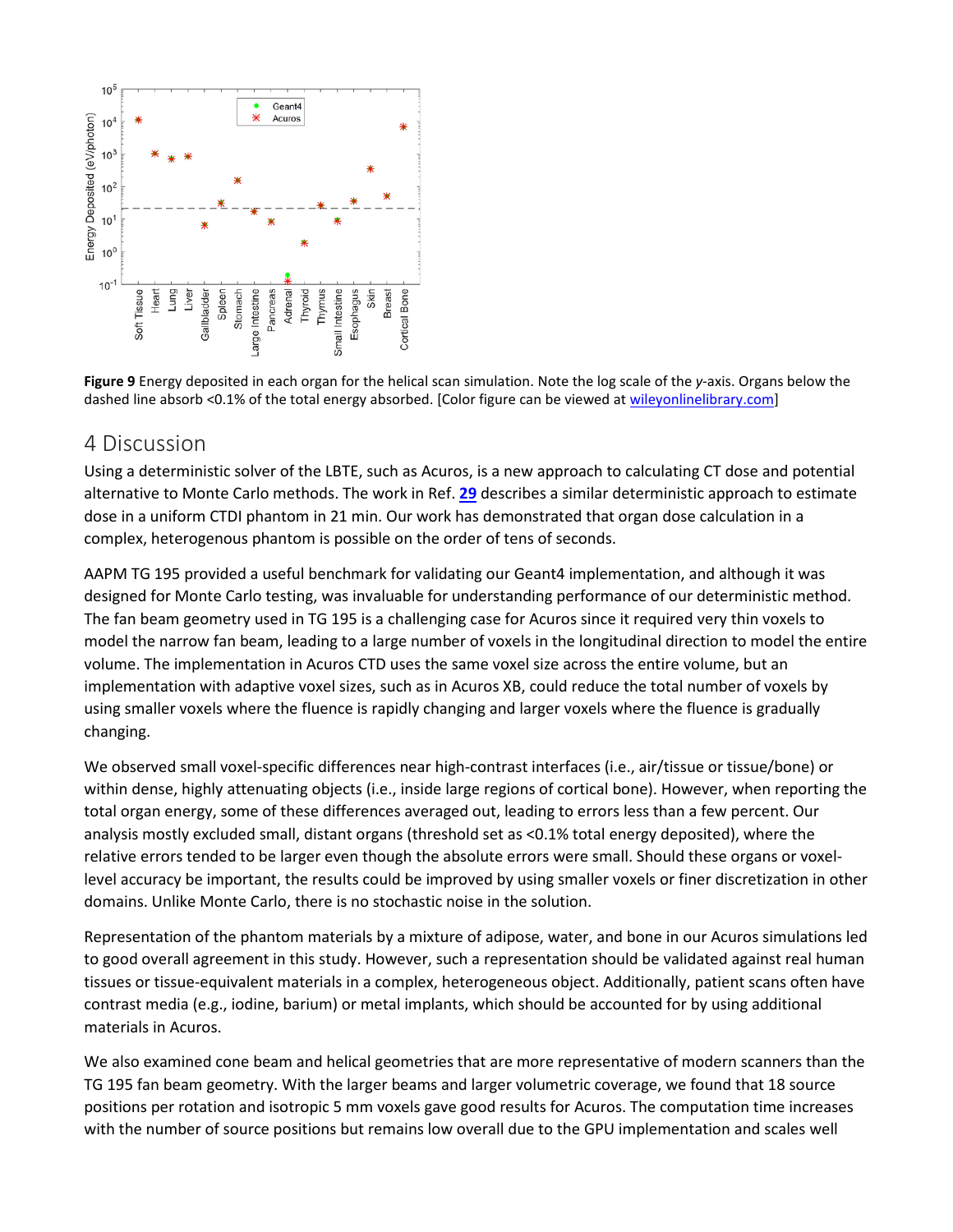

**Figure 9** Energy deposited in each organ for the helical scan simulation. Note the log scale of the *y*-axis. Organs below the dashed line absorb <0.1% of the total energy absorbed. [Color figure can be viewed at [wileyonlinelibrary.com\]](http://www.wileyonlinelibrary.com/)

## 4 Discussion

Using a deterministic solver of the LBTE, such as Acuros, is a new approach to calculating CT dose and potential alternative to Monte Carlo methods. The work in Ref. **[29](https://aapm.onlinelibrary.wiley.com/doi/full/10.1002/mp.13305#mp13305-bib-0029)** describes a similar deterministic approach to estimate dose in a uniform CTDI phantom in 21 min. Our work has demonstrated that organ dose calculation in a complex, heterogenous phantom is possible on the order of tens of seconds.

AAPM TG 195 provided a useful benchmark for validating our Geant4 implementation, and although it was designed for Monte Carlo testing, was invaluable for understanding performance of our deterministic method. The fan beam geometry used in TG 195 is a challenging case for Acuros since it required very thin voxels to model the narrow fan beam, leading to a large number of voxels in the longitudinal direction to model the entire volume. The implementation in Acuros CTD uses the same voxel size across the entire volume, but an implementation with adaptive voxel sizes, such as in Acuros XB, could reduce the total number of voxels by using smaller voxels where the fluence is rapidly changing and larger voxels where the fluence is gradually changing.

We observed small voxel-specific differences near high-contrast interfaces (i.e., air/tissue or tissue/bone) or within dense, highly attenuating objects (i.e., inside large regions of cortical bone). However, when reporting the total organ energy, some of these differences averaged out, leading to errors less than a few percent. Our analysis mostly excluded small, distant organs (threshold set as <0.1% total energy deposited), where the relative errors tended to be larger even though the absolute errors were small. Should these organs or voxellevel accuracy be important, the results could be improved by using smaller voxels or finer discretization in other domains. Unlike Monte Carlo, there is no stochastic noise in the solution.

Representation of the phantom materials by a mixture of adipose, water, and bone in our Acuros simulations led to good overall agreement in this study. However, such a representation should be validated against real human tissues or tissue-equivalent materials in a complex, heterogeneous object. Additionally, patient scans often have contrast media (e.g., iodine, barium) or metal implants, which should be accounted for by using additional materials in Acuros.

We also examined cone beam and helical geometries that are more representative of modern scanners than the TG 195 fan beam geometry. With the larger beams and larger volumetric coverage, we found that 18 source positions per rotation and isotropic 5 mm voxels gave good results for Acuros. The computation time increases with the number of source positions but remains low overall due to the GPU implementation and scales well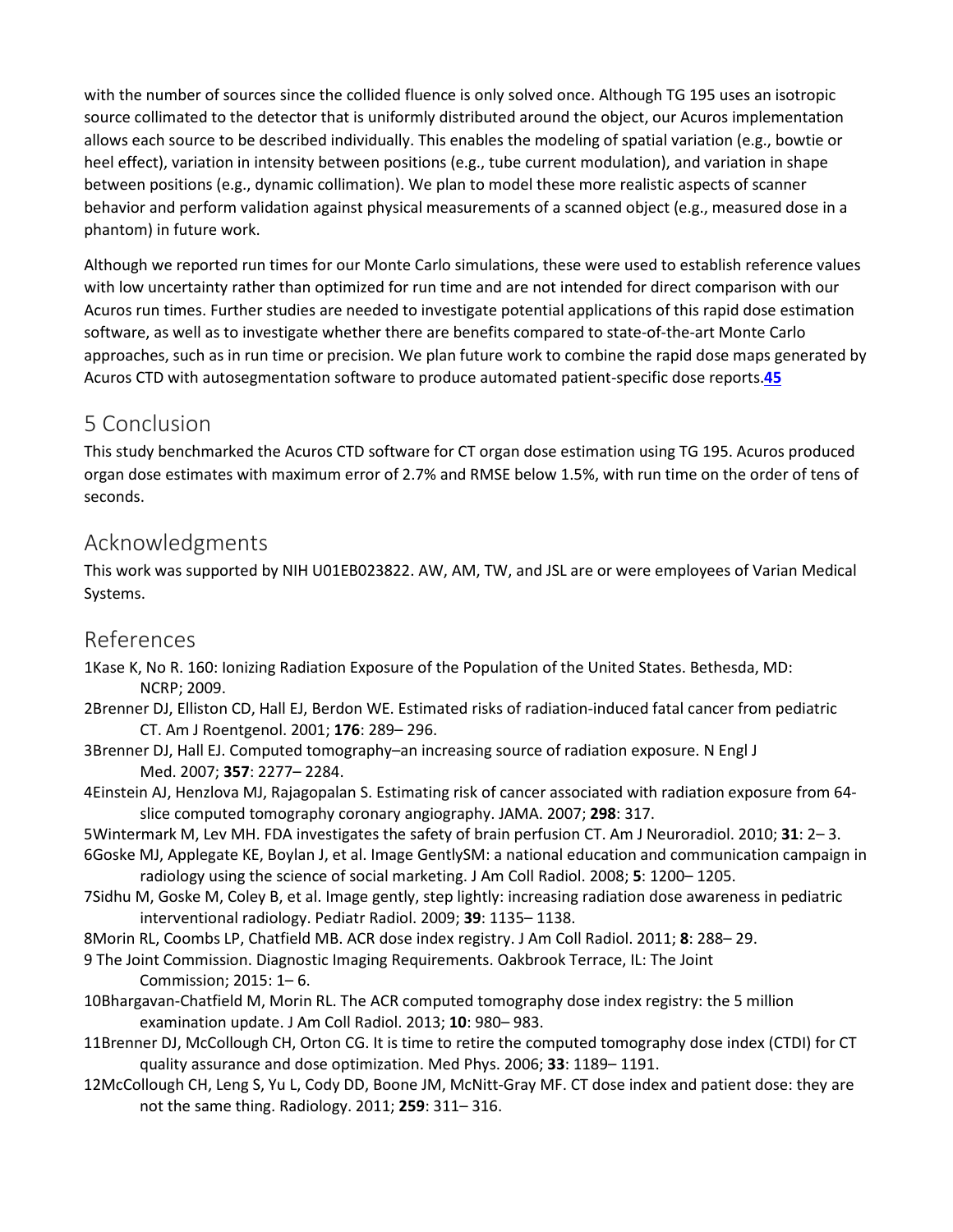with the number of sources since the collided fluence is only solved once. Although TG 195 uses an isotropic source collimated to the detector that is uniformly distributed around the object, our Acuros implementation allows each source to be described individually. This enables the modeling of spatial variation (e.g., bowtie or heel effect), variation in intensity between positions (e.g., tube current modulation), and variation in shape between positions (e.g., dynamic collimation). We plan to model these more realistic aspects of scanner behavior and perform validation against physical measurements of a scanned object (e.g., measured dose in a phantom) in future work.

Although we reported run times for our Monte Carlo simulations, these were used to establish reference values with low uncertainty rather than optimized for run time and are not intended for direct comparison with our Acuros run times. Further studies are needed to investigate potential applications of this rapid dose estimation software, as well as to investigate whether there are benefits compared to state-of-the-art Monte Carlo approaches, such as in run time or precision. We plan future work to combine the rapid dose maps generated by Acuros CTD with autosegmentation software to produce automated patient-specific dose reports.**[45](https://aapm.onlinelibrary.wiley.com/doi/full/10.1002/mp.13305#mp13305-bib-0045)**

## 5 Conclusion

This study benchmarked the Acuros CTD software for CT organ dose estimation using TG 195. Acuros produced organ dose estimates with maximum error of 2.7% and RMSE below 1.5%, with run time on the order of tens of seconds.

## Acknowledgments

This work was supported by NIH U01EB023822. AW, AM, TW, and JSL are or were employees of Varian Medical Systems.

## References

- 1Kase K, No R. 160: Ionizing Radiation Exposure of the Population of the United States. Bethesda, MD: NCRP; 2009.
- 2Brenner DJ, Elliston CD, Hall EJ, Berdon WE. Estimated risks of radiation-induced fatal cancer from pediatric CT. Am J Roentgenol. 2001; **176**: 289– 296.
- 3Brenner DJ, Hall EJ. Computed tomography–an increasing source of radiation exposure. N Engl J Med. 2007; **357**: 2277– 2284.
- 4Einstein AJ, Henzlova MJ, Rajagopalan S. Estimating risk of cancer associated with radiation exposure from 64 slice computed tomography coronary angiography. JAMA. 2007; **298**: 317.

5Wintermark M, Lev MH. FDA investigates the safety of brain perfusion CT. Am J Neuroradiol. 2010; **31**: 2– 3.

- 6Goske MJ, Applegate KE, Boylan J, et al. Image GentlySM: a national education and communication campaign in radiology using the science of social marketing. J Am Coll Radiol. 2008; **5**: 1200– 1205.
- 7Sidhu M, Goske M, Coley B, et al. Image gently, step lightly: increasing radiation dose awareness in pediatric interventional radiology. Pediatr Radiol. 2009; **39**: 1135– 1138.
- 8Morin RL, Coombs LP, Chatfield MB. ACR dose index registry. J Am Coll Radiol. 2011; **8**: 288– 29.
- 9 The Joint Commission. Diagnostic Imaging Requirements. Oakbrook Terrace, IL: The Joint Commission; 2015: 1– 6.
- 10Bhargavan-Chatfield M, Morin RL. The ACR computed tomography dose index registry: the 5 million examination update. J Am Coll Radiol. 2013; **10**: 980– 983.
- 11Brenner DJ, McCollough CH, Orton CG. It is time to retire the computed tomography dose index (CTDI) for CT quality assurance and dose optimization. Med Phys. 2006; **33**: 1189– 1191.
- 12McCollough CH, Leng S, Yu L, Cody DD, Boone JM, McNitt-Gray MF. CT dose index and patient dose: they are not the same thing. Radiology. 2011; **259**: 311– 316.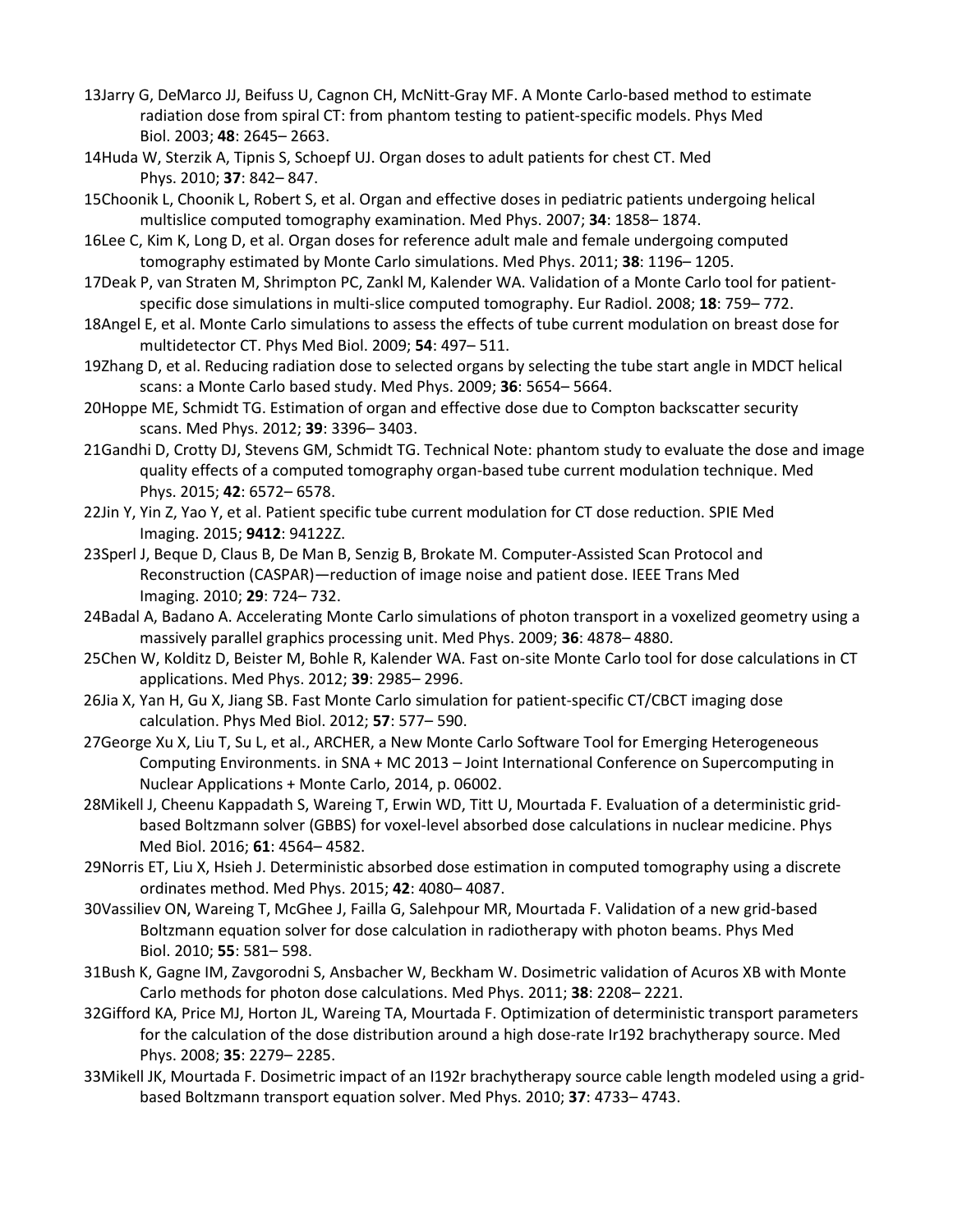- 13Jarry G, DeMarco JJ, Beifuss U, Cagnon CH, McNitt-Gray MF. A Monte Carlo-based method to estimate radiation dose from spiral CT: from phantom testing to patient-specific models. Phys Med Biol. 2003; **48**: 2645– 2663.
- 14Huda W, Sterzik A, Tipnis S, Schoepf UJ. Organ doses to adult patients for chest CT. Med Phys. 2010; **37**: 842– 847.
- 15Choonik L, Choonik L, Robert S, et al. Organ and effective doses in pediatric patients undergoing helical multislice computed tomography examination. Med Phys. 2007; **34**: 1858– 1874.
- 16Lee C, Kim K, Long D, et al. Organ doses for reference adult male and female undergoing computed tomography estimated by Monte Carlo simulations. Med Phys. 2011; **38**: 1196– 1205.
- 17Deak P, van Straten M, Shrimpton PC, Zankl M, Kalender WA. Validation of a Monte Carlo tool for patientspecific dose simulations in multi-slice computed tomography. Eur Radiol. 2008; **18**: 759– 772.
- 18Angel E, et al. Monte Carlo simulations to assess the effects of tube current modulation on breast dose for multidetector CT. Phys Med Biol. 2009; **54**: 497– 511.
- 19Zhang D, et al. Reducing radiation dose to selected organs by selecting the tube start angle in MDCT helical scans: a Monte Carlo based study. Med Phys. 2009; **36**: 5654– 5664.
- 20Hoppe ME, Schmidt TG. Estimation of organ and effective dose due to Compton backscatter security scans. Med Phys. 2012; **39**: 3396– 3403.
- 21Gandhi D, Crotty DJ, Stevens GM, Schmidt TG. Technical Note: phantom study to evaluate the dose and image quality effects of a computed tomography organ-based tube current modulation technique. Med Phys. 2015; **42**: 6572– 6578.
- 22Jin Y, Yin Z, Yao Y, et al. Patient specific tube current modulation for CT dose reduction. SPIE Med Imaging. 2015; **9412**: 94122Z.
- 23Sperl J, Beque D, Claus B, De Man B, Senzig B, Brokate M. Computer-Assisted Scan Protocol and Reconstruction (CASPAR)—reduction of image noise and patient dose. IEEE Trans Med Imaging. 2010; **29**: 724– 732.
- 24Badal A, Badano A. Accelerating Monte Carlo simulations of photon transport in a voxelized geometry using a massively parallel graphics processing unit. Med Phys. 2009; **36**: 4878– 4880.
- 25Chen W, Kolditz D, Beister M, Bohle R, Kalender WA. Fast on-site Monte Carlo tool for dose calculations in CT applications. Med Phys. 2012; **39**: 2985– 2996.
- 26Jia X, Yan H, Gu X, Jiang SB. Fast Monte Carlo simulation for patient-specific CT/CBCT imaging dose calculation. Phys Med Biol. 2012; **57**: 577– 590.
- 27George Xu X, Liu T, Su L, et al., ARCHER, a New Monte Carlo Software Tool for Emerging Heterogeneous Computing Environments. in SNA + MC 2013 – Joint International Conference on Supercomputing in Nuclear Applications + Monte Carlo, 2014, p. 06002.
- 28Mikell J, Cheenu Kappadath S, Wareing T, Erwin WD, Titt U, Mourtada F. Evaluation of a deterministic gridbased Boltzmann solver (GBBS) for voxel-level absorbed dose calculations in nuclear medicine. Phys Med Biol. 2016; **61**: 4564– 4582.
- 29Norris ET, Liu X, Hsieh J. Deterministic absorbed dose estimation in computed tomography using a discrete ordinates method. Med Phys. 2015; **42**: 4080– 4087.
- 30Vassiliev ON, Wareing T, McGhee J, Failla G, Salehpour MR, Mourtada F. Validation of a new grid-based Boltzmann equation solver for dose calculation in radiotherapy with photon beams. Phys Med Biol. 2010; **55**: 581– 598.
- 31Bush K, Gagne IM, Zavgorodni S, Ansbacher W, Beckham W. Dosimetric validation of Acuros XB with Monte Carlo methods for photon dose calculations. Med Phys. 2011; **38**: 2208– 2221.
- 32Gifford KA, Price MJ, Horton JL, Wareing TA, Mourtada F. Optimization of deterministic transport parameters for the calculation of the dose distribution around a high dose-rate Ir192 brachytherapy source. Med Phys. 2008; **35**: 2279– 2285.
- 33Mikell JK, Mourtada F. Dosimetric impact of an I192r brachytherapy source cable length modeled using a gridbased Boltzmann transport equation solver. Med Phys. 2010; **37**: 4733– 4743.